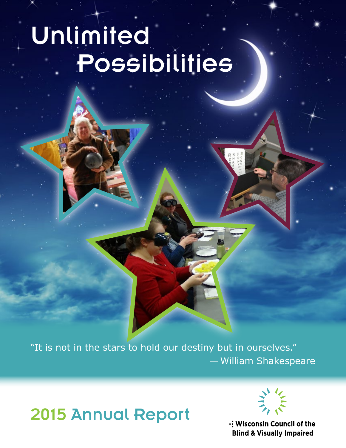# Unlimited Possibilities

"It is not in the stars to hold our destiny but in ourselves." — William Shakespeare

2015 Annual Report



: Wisconsin Council of the **Blind & Visually Impaired**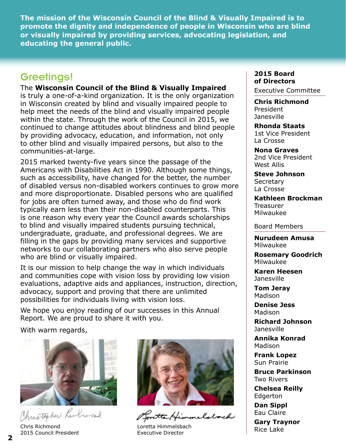**The mission of the Wisconsin Council of the Blind & Visually Impaired is to promote the dignity and independence of people in Wisconsin who are blind or visually impaired by providing services, advocating legislation, and educating the general public.**

### Greetings!

The **Wisconsin Council of the Blind & Visually Impaired**

is truly a one-of-a-kind organization. It is the only organization in Wisconsin created by blind and visually impaired people to help meet the needs of the blind and visually impaired people within the state. Through the work of the Council in 2015, we continued to change attitudes about blindness and blind people by providing advocacy, education, and information, not only to other blind and visually impaired persons, but also to the communities-at-large.

2015 marked twenty-five years since the passage of the Americans with Disabilities Act in 1990. Although some things, such as accessibility, have changed for the better, the number of disabled versus non-disabled workers continues to grow more and more disproportionate. Disabled persons who are qualified for jobs are often turned away, and those who do find work typically earn less than their non-disabled counterparts. This is one reason why every year the Council awards scholarships to blind and visually impaired students pursuing technical, undergraduate, graduate, and professional degrees. We are filling in the gaps by providing many services and supportive networks to our collaborating partners who also serve people who are blind or visually impaired.

It is our mission to help change the way in which individuals and communities cope with vision loss by providing low vision evaluations, adaptive aids and appliances, instruction, direction, advocacy, support and proving that there are unlimited possibilities for individuals living with vision loss.

We hope you enjoy reading of our successes in this Annual Report. We are proud to share it with you.

With warm regards,



ristephen

Chris Richmond 2015 Council President



Loretta Himmelsbach **Executive Director Rice Lake** Executive Director

#### **2015 Board of Directors**

Executive Committee

**Chris Richmond** President Janesville

**Rhonda Staats** 1st Vice President La Crosse

**Nona Graves** 2nd Vice President West Allis

**Steve Johnson Secretary** La Crosse

**Kathleen Brockman Treasurer** Milwaukee

Board Members

**Nurudeen Amusa** Milwaukee

**Rosemary Goodrich** Milwaukee

**Karen Heesen** Janesville

**Tom Jeray** Madison

**Denise Jess** Madison

**Richard Johnson** Janesville

**Annika Konrad** Madison

**Frank Lopez** Sun Prairie

**Bruce Parkinson** Two Rivers

**Chelsea Reilly** Edgerton

**Dan Sippl** Eau Claire

**Gary Traynor**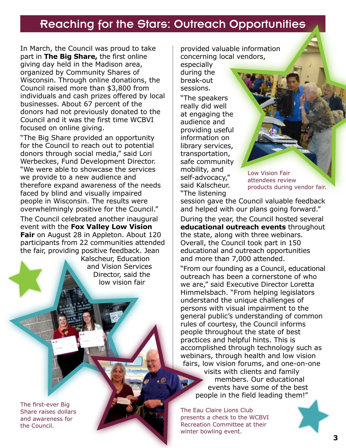## Reaching for the Stars: Outreach Opportunities

In March, the Council was proud to take part in **The Big Share,** the first online giving day held in the Madison area, organized by Community Shares of Wisconsin. Through online donations, the Council raised more than \$3,800 from individuals and cash prizes offered by local businesses. About 67 percent of the donors had not previously donated to the Council and it was the first time WCBVI focused on online giving.

"The Big Share provided an opportunity for the Council to reach out to potential donors through social media," said Lori Werbeckes, Fund Development Director. "We were able to showcase the services we provide to a new audience and therefore expand awareness of the needs faced by blind and visually impaired people in Wisconsin. The results were overwhelmingly positive for the Council."

The Council celebrated another inaugural event with the **Fox Valley Low Vision Fair** on August 28 in Appleton. About 120 participants from 22 communities attended the fair, providing positive feedback. Jean

Kalscheur, Education and Vision Services Director, said the low vision fair

The first-ever Big Share raises dollars and awareness for the Council.

provided valuable information concerning local vendors,

especially during the break-out sessions.

"The speakers really did well at engaging the audience and providing useful information on library services, transportation, safe community mobility, and self-advocacy," said Kalscheur. "The listening

Low Vision Fair attendees review products during vendor fair.

session gave the Council valuable feedback and helped with our plans going forward."

During the year, the Council hosted several **educational outreach events** throughout the state, along with three webinars. Overall, the Council took part in 150 educational and outreach opportunities and more than 7,000 attended.

"From our founding as a Council, educational outreach has been a cornerstone of who we are," said Executive Director Loretta Himmelsbach. "From helping legislators understand the unique challenges of persons with visual impairment to the general public's understanding of common rules of courtesy, the Council informs people throughout the state of best practices and helpful hints. This is accomplished through technology such as webinars, through health and low vision fairs, low vision forums, and one-on-one visits with clients and family

members. Our educational events have some of the best people in the field leading them!"

The Eau Claire Lions Club presents a check to the WCBVI Recreation Committee at their winter bowling event.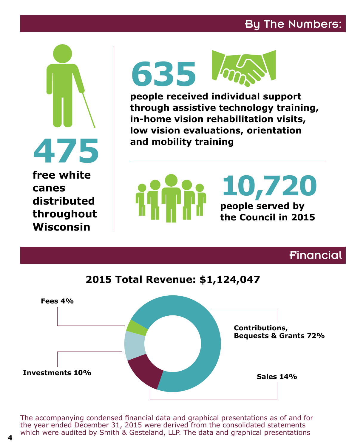## By The Numbers:



**Wisconsin**



**people received individual support through assistive technology training, in-home vision rehabilitation visits, low vision evaluations, orientation and mobility training**



Financial



The accompanying condensed financial data and graphical presentations as of and for the year ended December 31, 2015 were derived from the consolidated statements which were audited by Smith & Gesteland, LLP. The data and graphical presentations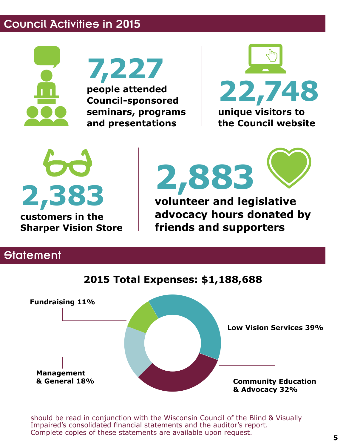## Council Activities in 2015



**7,227**

**people attended Council-sponsored seminars, programs and presentations**



**2,383 customers in the Sharper Vision Store**

**2,883**

**volunteer and legislative advocacy hours donated by friends and supporters**

## **Statement**



should be read in conjunction with the Wisconsin Council of the Blind & Visually Impaired's consolidated financial statements and the auditor's report. Complete copies of these statements are available upon request.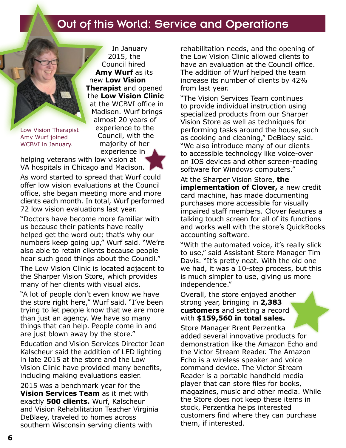## Out of this World: Service and Operations

Low Vision Therapist Amy Wurf joined WCBVI in January.

In January 2015, the Council hired **Amy Wurf** as its new **Low Vision Therapist** and opened the **Low Vision Clinic** at the WCBVI office in Madison. Wurf brings almost 20 years of experience to the Council, with the majority of her experience in

helping veterans with low vision at VA hospitals in Chicago and Madison.

As word started to spread that Wurf could offer low vision evaluations at the Council office, she began meeting more and more clients each month. In total, Wurf performed 72 low vision evaluations last year.

"Doctors have become more familiar with us because their patients have really helped get the word out; that's why our numbers keep going up," Wurf said. "We're also able to retain clients because people hear such good things about the Council."

The Low Vision Clinic is located adjacent to the Sharper Vision Store, which provides many of her clients with visual aids.

"A lot of people don't even know we have the store right here," Wurf said. "I've been trying to let people know that we are more than just an agency. We have so many things that can help. People come in and are just blown away by the store."

Education and Vision Services Director Jean Kalscheur said the addition of LED lighting in late 2015 at the store and the Low Vision Clinic have provided many benefits, including making evaluations easier.

2015 was a benchmark year for the **Vision Services Team** as it met with exactly **500 clients.** Wurf, Kalscheur and Vision Rehabilitation Teacher Virginia DeBlaey, traveled to homes across southern Wisconsin serving clients with

rehabilitation needs, and the opening of the Low Vision Clinic allowed clients to have an evaluation at the Council office. The addition of Wurf helped the team increase its number of clients by 42% from last year.

"The Vision Services Team continues to provide individual instruction using specialized products from our Sharper Vision Store as well as techniques for performing tasks around the house, such as cooking and cleaning," DeBlaey said. "We also introduce many of our clients to accessible technology like voice-over on IOS devices and other screen-reading software for Windows computers."

At the Sharper Vision Store, **the implementation of Clover, a new credit** card machine, has made documenting purchases more accessible for visually impaired staff members. Clover features a talking touch screen for all of its functions and works well with the store's QuickBooks accounting software.

"With the automated voice, it's really slick to use," said Assistant Store Manager Tim Davis. "It's pretty neat. With the old one we had, it was a 10-step process, but this is much simpler to use, giving us more independence."

Overall, the store enjoyed another strong year, bringing in **2,383 customers** and setting a record with **\$159,560 in total sales.**

Store Manager Brent Perzentka added several innovative products for demonstration like the Amazon Echo and the Victor Stream Reader. The Amazon Echo is a wireless speaker and voice command device. The Victor Stream Reader is a portable handheld media player that can store files for books, magazines, music and other media. While the Store does not keep these items in stock, Perzentka helps interested customers find where they can purchase them, if interested.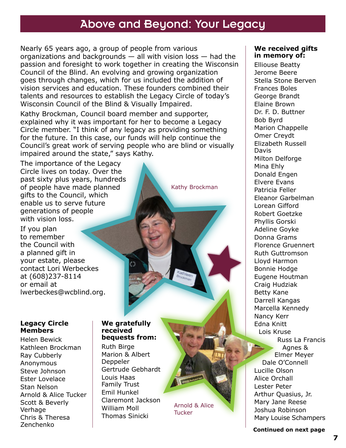## Above and Beyond: Your Legacy

Nearly 65 years ago, a group of people from various organizations and backgrounds — all with vision loss — had the passion and foresight to work together in creating the Wisconsin Council of the Blind. An evolving and growing organization goes through changes, which for us included the addition of vision services and education. These founders combined their talents and resources to establish the Legacy Circle of today's Wisconsin Council of the Blind & Visually Impaired.

Kathy Brockman, Council board member and supporter, explained why it was important for her to become a Legacy Circle member. "I think of any legacy as providing something for the future. In this case, our funds will help continue the Council's great work of serving people who are blind or visually impaired around the state," says Kathy.

The importance of the Legacy Circle lives on today. Over the past sixty plus years, hundreds of people have made planned gifts to the Council, which enable us to serve future generations of people with vision loss.

If you plan to remember the Council with a planned gift in your estate, please contact Lori Werbeckes at (608)237-8114 or email at lwerbeckes@wcblind.org.

#### **Legacy Circle Members**

Helen Bewick Kathleen Brockman Ray Cubberly Anonymous Steve Johnson Ester Lovelace Stan Nelson Arnold & Alice Tucker Scott & Beverly Verhage Chris & Theresa Zenchenko

#### **We gratefully received bequests from:**

Ruth Birge Marion & Albert Deppeler Gertrude Gebhardt Louis Haas Family Trust Emil Hunkel Claremont Jackson William Moll Thomas Sinicki

Arnold & Alice Tucker

Kathy Brockman

#### **We received gifts in memory of:**

Elliouse Beatty Jerome Beere Stella Stone Berven Frances Boles George Brandt Elaine Brown Dr. F. D. Buttner Bob Byrd Marion Chappelle Omer Creydt Elizabeth Russell Davis Milton Delforge Mina Ehly Donald Engen Elvere Evans Patricia Feller Eleanor Garbelman Lorean Gifford Robert Goetzke Phyllis Gorski Adeline Goyke Donna Grams Florence Gruennert Ruth Guttromson Lloyd Harmon Bonnie Hodge Eugene Houtman Craig Hudziak Betty Kane Darrell Kangas Marcella Kennedy Nancy Kerr Edna Knitt Lois Kruse Russ La Francis Agnes & Elmer Meyer Dale O'Connell Lucille Olson Alice Orchall Lester Peter Arthur Quasius, Jr. Mary Jane Reese Joshua Robinson Mary Louise Schampers

**Continued on next page**